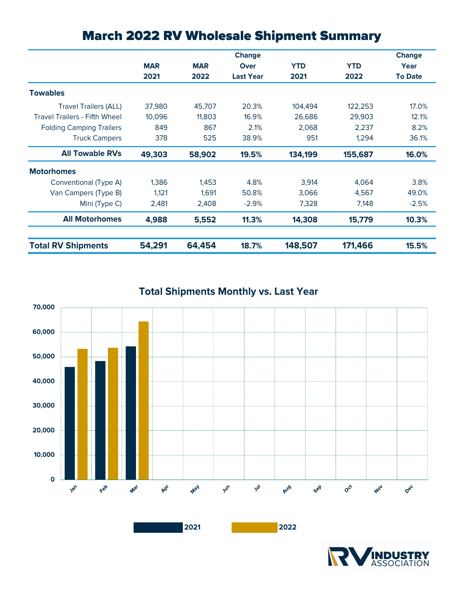|                                      |            |            | <b>Change</b>    |            |            | <b>Change</b>  |
|--------------------------------------|------------|------------|------------------|------------|------------|----------------|
|                                      | <b>MAR</b> | <b>MAR</b> | <b>Over</b>      | <b>YTD</b> | <b>YTD</b> | Year           |
|                                      | 2021       | 2022       | <b>Last Year</b> | 2021       | 2022       | <b>To Date</b> |
| <b>Towables</b>                      |            |            |                  |            |            |                |
| <b>Travel Trailers (ALL)</b>         | 37,980     | 45,707     | 20.3%            | 104,494    | 122,253    | 17.0%          |
| <b>Travel Trailers - Fifth Wheel</b> | 10.096     | 11,803     | 16.9%            | 26,686     | 29,903     | 12.1%          |
| <b>Folding Camping Trailers</b>      | 849        | 867        | 2.1%             | 2.068      | 2.237      | 8.2%           |
| <b>Truck Campers</b>                 | 378        | 525        | 38.9%            | 951        | 1.294      | 36.1%          |
| <b>All Towable RVs</b>               | 49,303     | 58,902     | 19.5%            | 134,199    | 155,687    | 16.0%          |
| <b>Motorhomes</b>                    |            |            |                  |            |            |                |
| Conventional (Type A)                | 1,386      | 1,453      | 4.8%             | 3,914      | 4,064      | 3.8%           |
| Van Campers (Type B)                 | 1,121      | 1,691      | 50.8%            | 3,066      | 4,567      | 49.0%          |
| Mini (Type C)                        | 2,481      | 2,408      | $-2.9%$          | 7,328      | 7,148      | $-2.5%$        |
| <b>All Motorhomes</b>                | 4,988      | 5,552      | 11.3%            | 14,308     | 15,779     | 10.3%          |
| <b>Total RV Shipments</b>            | 54,291     | 64,454     | 18.7%            | 148,507    | 171,466    | 15.5%          |

# March 2022 RV Wholesale Shipment Summary

**Total Shipments Monthly vs. Last Year**



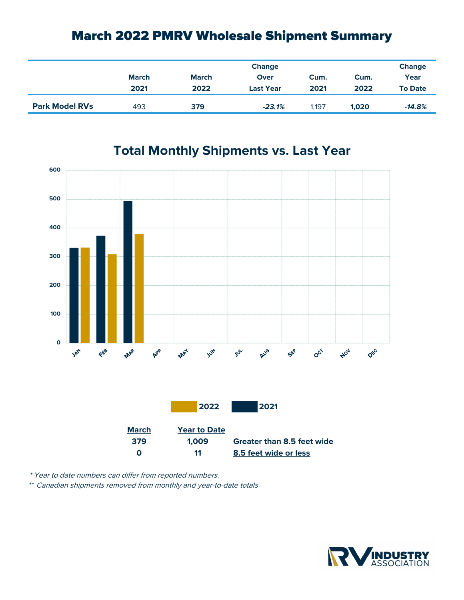## March 2022 PMRV Wholesale Shipment Summary

|                       |              | <b>Change</b> |                  |       |       |                |
|-----------------------|--------------|---------------|------------------|-------|-------|----------------|
|                       | <b>March</b> | <b>March</b>  | Over             | Cum.  | Cum.  | Year           |
|                       | 2021         | 2022          | <b>Last Year</b> | 2021  | 2022  | <b>To Date</b> |
| <b>Park Model RVs</b> | 493          | 379           | $-23.1%$         | 1.197 | 1,020 | $-14.8%$       |



### **Total Monthly Shipments vs. Last Year**

\* Year to date numbers can differ from reported numbers.

\*\* Canadian shipments removed from monthly and year-to-date totals